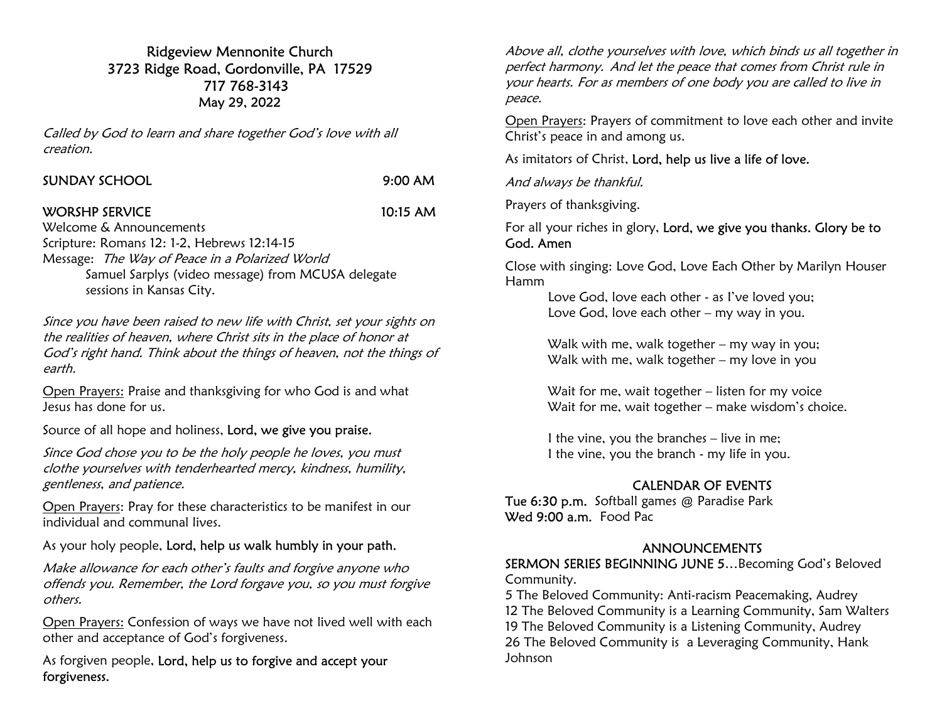## Ridgeview Mennonite Church 3723 Ridge Road, Gordonville, PA 17529 717 768-3143 May 29, 2022

Called by God to learn and share together God's love with all creation.

# $9:00$  AM

WORSHP SERVICE 10:15 AM

Welcome & Announcements Scripture: Romans 12: 1-2, Hebrews 12:14-15 Message: The Way of Peace in a Polarized World Samuel Sarplys (video message) from MCUSA delegate sessions in Kansas City.

Since you have been raised to new life with Christ, set your sights on the realities of heaven, where Christ sits in the place of honor at God's right hand. Think about the things of heaven, not the things of earth.

Open Prayers: Praise and thanksgiving for who God is and what Jesus has done for us.

Source of all hope and holiness, Lord, we give you praise.

Since God chose you to be the holy people he loves, you must clothe yourselves with tenderhearted mercy, kindness, humility, gentleness, and patience.

Open Prayers: Pray for these characteristics to be manifest in our individual and communal lives.

As your holy people, Lord, help us walk humbly in your path.

Make allowance for each other's faults and forgive anyone who offends you. Remember, the Lord forgave you, so you must forgive others.

Open Prayers: Confession of ways we have not lived well with each other and acceptance of God's forgiveness.

As forgiven people, Lord, help us to forgive and accept your forgiveness.

Above all, clothe yourselves with love, which binds us all together in perfect harmony. And let the peace that comes from Christ rule in your hearts. For as members of one body you are called to live in peace.

Open Prayers: Prayers of commitment to love each other and invite Christ's peace in and among us.

As imitators of Christ, Lord, help us live a life of love.

And always be thankful.

Prayers of thanksgiving.

For all your riches in glory, Lord, we give you thanks. Glory be to God. Amen

Close with singing: Love God, Love Each Other by Marilyn Houser Hamm

 Love God, love each other - as I've loved you; Love God, love each other – my way in you.

 Walk with me, walk together – my way in you; Walk with me, walk together – my love in you

 Wait for me, wait together – listen for my voice Wait for me, wait together – make wisdom's choice.

 I the vine, you the branches – live in me; I the vine, you the branch - my life in you.

# CALENDAR OF EVENTS

Tue 6:30 p.m. Softball games @ Paradise Park Wed 9:00 a.m. Food Pac.

### ANNOUNCEMENTS

SERMON SERIES BEGINNING JUNE 5…Becoming God's Beloved Community.

5 The Beloved Community: Anti-racism Peacemaking, Audrey 12 The Beloved Community is a Learning Community, Sam Walters 19 The Beloved Community is a Listening Community, Audrey 26 The Beloved Community is a Leveraging Community, Hank Johnson